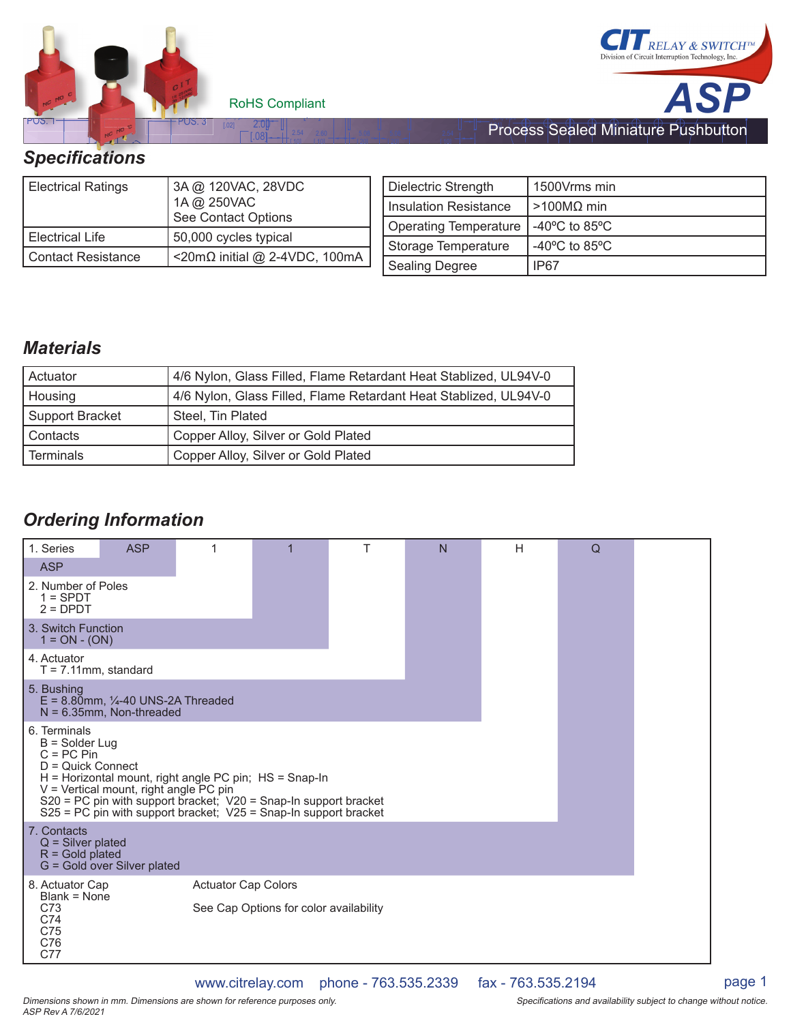



Process Sealed Miniature Pushbutton

#### Specifications

| <b>Electrical Ratings</b> | 3A @ 120VAC, 28VDC<br>1A @ 250VAC<br>See Contact Options |
|---------------------------|----------------------------------------------------------|
| l Electrical Life         | 50,000 cycles typical                                    |
| Contact Resistance        | <20mΩ initial @ 2-4VDC, 100mA                            |

| Dielectric Strength     | 1500Vrms min                                        |
|-------------------------|-----------------------------------------------------|
| I Insulation Resistance | $>100$ MΩ min                                       |
| Operating Temperature   | -40 $\mathrm{^{\circ}C}$ to 85 $\mathrm{^{\circ}C}$ |
| Storage Temperature     | -40 $\degree$ C to 85 $\degree$ C                   |
| Sealing Degree          | IP67                                                |

### *Materials*

| Actuator        | 4/6 Nylon, Glass Filled, Flame Retardant Heat Stablized, UL94V-0 |  |
|-----------------|------------------------------------------------------------------|--|
| Housing         | 4/6 Nylon, Glass Filled, Flame Retardant Heat Stablized, UL94V-0 |  |
| Support Bracket | Steel, Tin Plated                                                |  |
| l Contacts      | Copper Alloy, Silver or Gold Plated                              |  |
| l Terminals     | Copper Alloy, Silver or Gold Plated                              |  |

[ 20]

[ 10]

[ 20]

[ 10]

### *Ordering Information*

| 1. Series                                                                                                                                                                                                                                                                                                               | <b>ASP</b> | 1 |  | T | N | H | $\Omega$ |  |
|-------------------------------------------------------------------------------------------------------------------------------------------------------------------------------------------------------------------------------------------------------------------------------------------------------------------------|------------|---|--|---|---|---|----------|--|
| <b>ASP</b>                                                                                                                                                                                                                                                                                                              |            |   |  |   |   |   |          |  |
| 2. Number of Poles<br>$1 =$ SPDT<br>$2 = D$ PDT                                                                                                                                                                                                                                                                         |            |   |  |   |   |   |          |  |
| 3. Switch Function<br>$1 = ON - (ON)$                                                                                                                                                                                                                                                                                   |            |   |  |   |   |   |          |  |
| 4. Actuator<br>$T = 7.11$ mm, standard                                                                                                                                                                                                                                                                                  |            |   |  |   |   |   |          |  |
| 5. Bushing<br>$E = 8.80$ mm, $\frac{1}{4}$ -40 UNS-2A Threaded<br>$N = 6.35$ mm, Non-threaded                                                                                                                                                                                                                           |            |   |  |   |   |   |          |  |
| 6. Terminals<br>$B =$ Solder Lug<br>$C = PC Pin$<br>$D =$ Quick Connect<br>H = Horizontal mount, right angle PC pin; HS = Snap-In<br>V = Vertical mount, right angle PC pin<br>S20 = PC pin with support bracket; V20 = Snap-In support bracket<br>$S25$ = PC pin with support bracket; $V25$ = Snap-In support bracket |            |   |  |   |   |   |          |  |
| 7. Contacts<br>$Q =$ Silver plated<br>$R =$ Gold plated<br>G = Gold over Silver plated                                                                                                                                                                                                                                  |            |   |  |   |   |   |          |  |
| <b>Actuator Cap Colors</b><br>8. Actuator Cap<br>Blank = None<br>C73<br>See Cap Options for color availability<br>C74<br>C75<br>C76<br>C77                                                                                                                                                                              |            |   |  |   |   |   |          |  |

www.citrelay.com phone - 763.535.2339 fax - 763.535.2194 page 1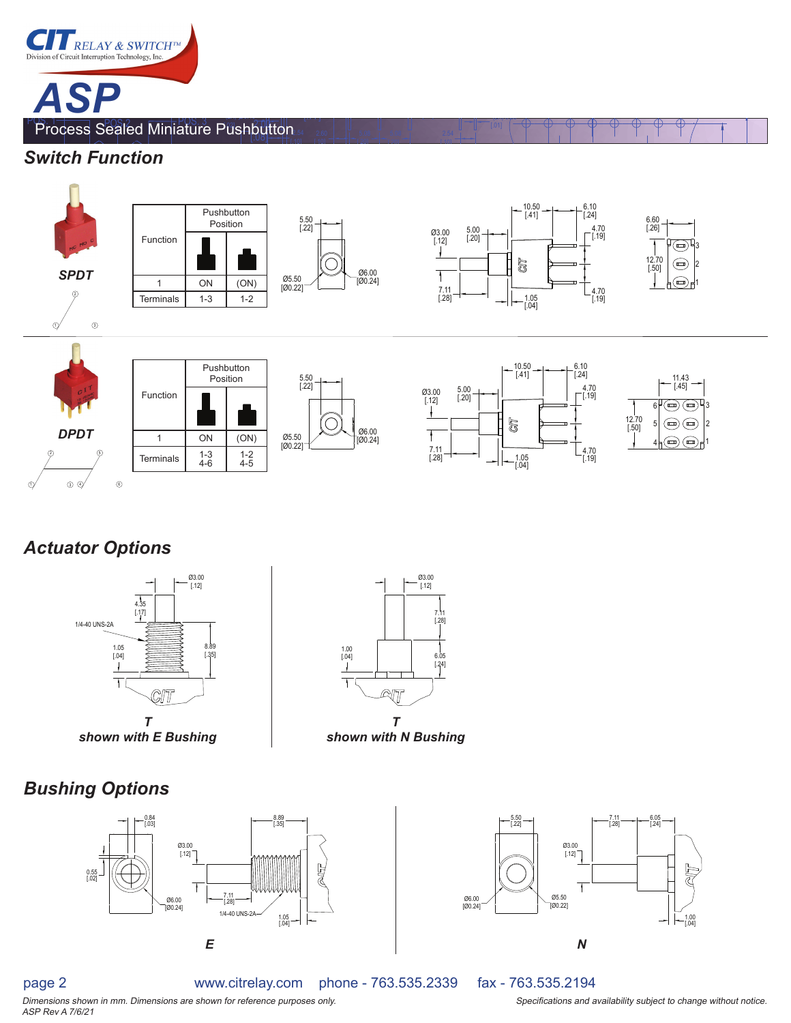



 2.54 [.10]

[.08]

[ 10]

[ 20]

[ 20]

[ 10]

(2X) 0.30

# *Actuator Options*



*shown with E Bushing*

# *Bushing Options*







page 2

ASP Rev A 7/6/21

www.citrelay.com phone - 763.535.2339 fax - 763.535.2194

Dimensions shown in mm. Dimensions are shown for reference purposes only. This is a subjectional and availability subject to change without notice.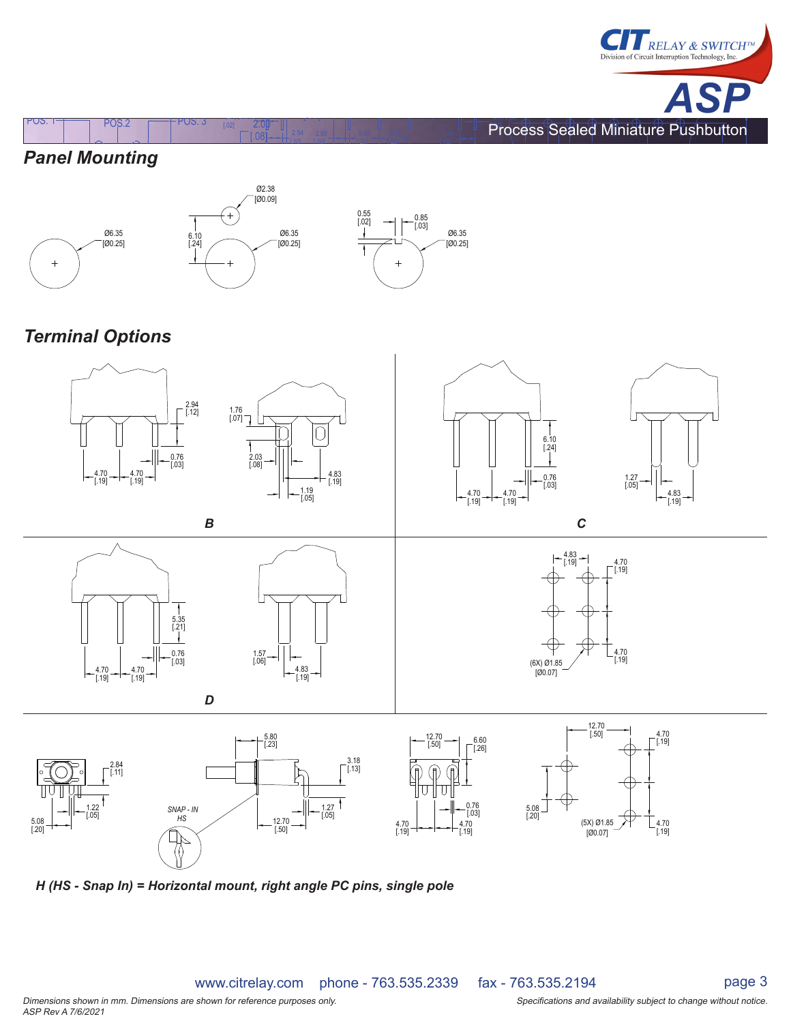

# *Panel Mounting*





 $\overline{X}$   $\overline{Y}$   $\overline{Y}$   $\overline{Y}$   $\overline{Y}$   $\overline{Y}$   $\overline{Y}$   $\overline{Y}$   $\overline{Y}$   $\overline{Y}$   $\overline{Y}$   $\overline{Y}$   $\overline{Y}$   $\overline{Y}$   $\overline{Y}$   $\overline{Y}$   $\overline{Y}$   $\overline{Y}$   $\overline{Y}$   $\overline{Y}$   $\overline{Y}$   $\overline{Y}$   $\overline{Y}$   $\overline{Y}$   $\overline{$ 

[.02] [ ] POS. 1 POS.2 POS. 3 [.77] 2.00

[.10]

[ 10]

[ 20]

[ 20]

[ 10]

(2X) 0.30



# *Terminal Options*



 *H (HS - Snap In) = Horizontal mount, right angle PC pins, single pole*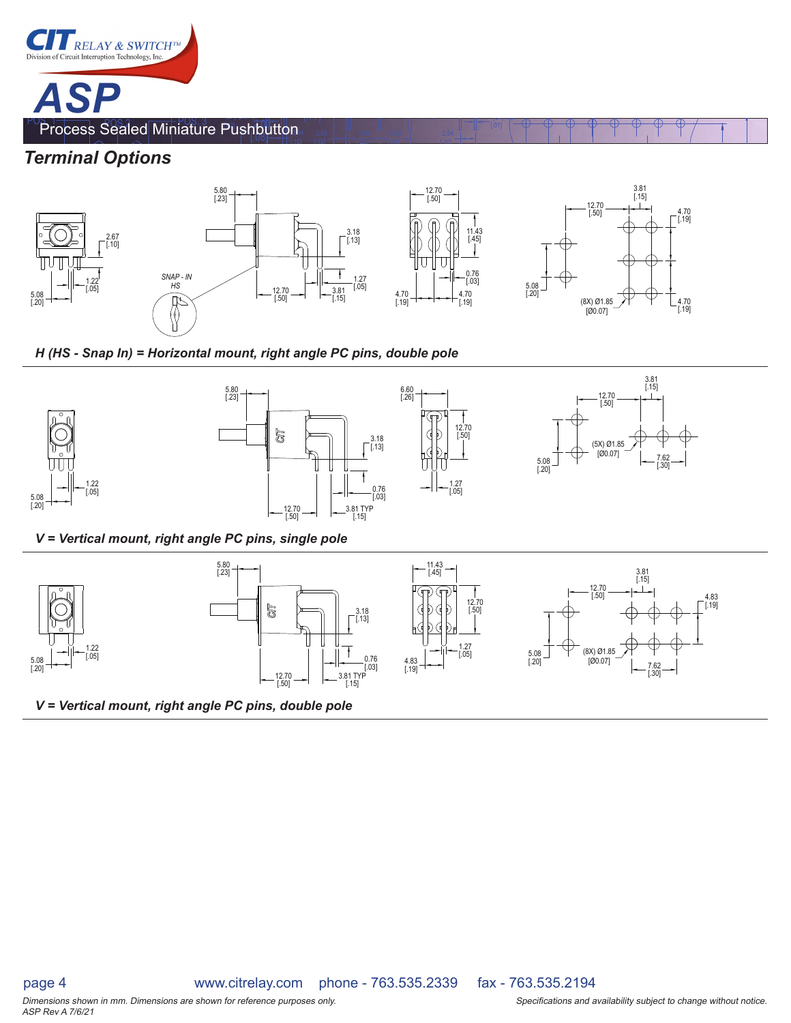

#### *Terminal Options*

 $1.22$ <br>[.05]

 $\begin{bmatrix} 5.08 \\ 20 \end{bmatrix}$   $\begin{bmatrix} -2 \\ -2 \end{bmatrix}$   $\begin{bmatrix} 0.05 \\ -2 \end{bmatrix}$ 



[ 20]

[ 20]

[ 10]

(2X) 0.30

 *H (HS - Snap In) = Horizontal mount, right angle PC pins, double pole*

 2.54 [.10]

[ 10]



 *V = Vertical mount, right angle PC pins, single pole*



 *V = Vertical mount, right angle PC pins, double pole*

Dimensions shown in mm. Dimensions are shown for reference purposes only. The state of the state of the Specifications and availability subject to change without notice. ASP Rev A 7/6/21

page 4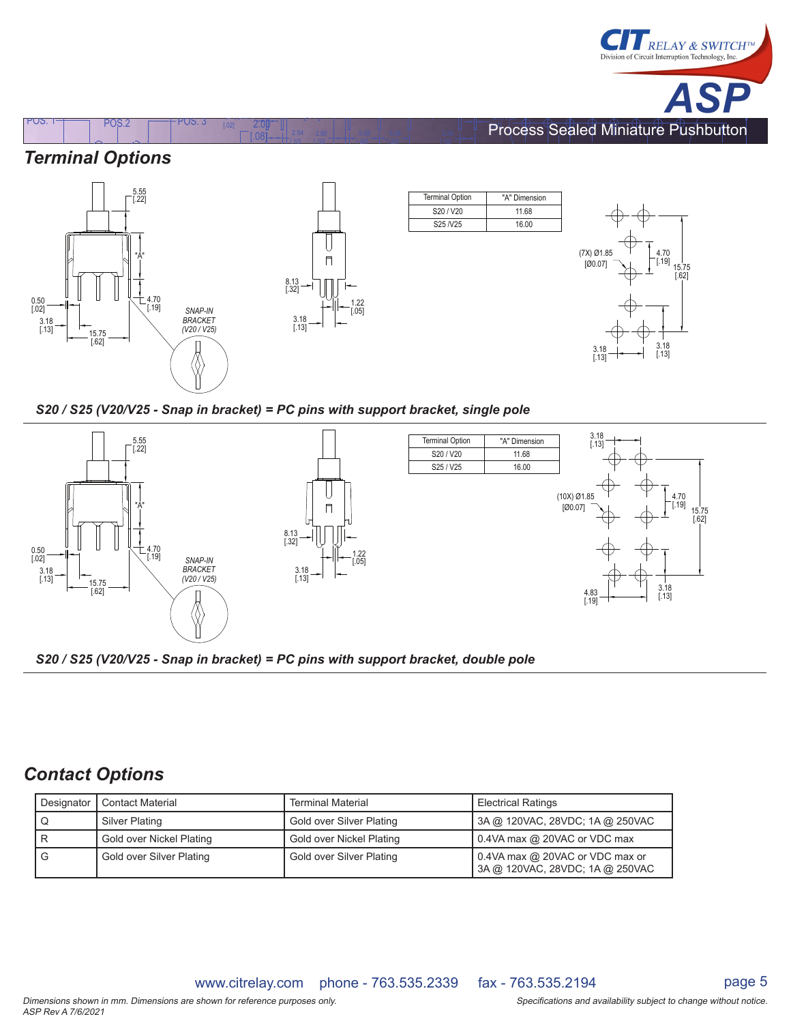

## *Terminal Options*



 $\overline{X}$   $\overline{Y}$   $\overline{Y}$   $\overline{Y}$   $\overline{Y}$   $\overline{Y}$   $\overline{Y}$   $\overline{Y}$   $\overline{Y}$   $\overline{Y}$   $\overline{Y}$   $\overline{Y}$   $\overline{Y}$   $\overline{Y}$   $\overline{Y}$   $\overline{Y}$   $\overline{Y}$   $\overline{Y}$   $\overline{Y}$   $\overline{Y}$   $\overline{Y}$   $\overline{Y}$   $\overline{Y}$   $\overline{Y}$   $\overline{$ 

[.02] [ ] POS. 1 POS.2 POS. 3 [.77] 2.00



 *S20 / S25 (V20/V25 - Snap in bracket) = PC pins with support bracket, single pole*

[.10]

[ 10]

[ 20]

[ 20]

[ 10]

(2X) 0.30





#### *Contact Options*

| Designator<br><b>Contact Material</b> |                          | <b>Terminal Material</b> | <b>Electrical Ratings</b>                                          |  |
|---------------------------------------|--------------------------|--------------------------|--------------------------------------------------------------------|--|
| Silver Plating                        |                          | Gold over Silver Plating | 3A @ 120VAC, 28VDC, 1A @ 250VAC                                    |  |
|                                       | Gold over Nickel Plating | Gold over Nickel Plating | 0.4VA max @ 20VAC or VDC max                                       |  |
| Gold over Silver Plating<br>G         |                          | Gold over Silver Plating | 0.4VA max @ 20VAC or VDC max or<br>3A @ 120VAC, 28VDC; 1A @ 250VAC |  |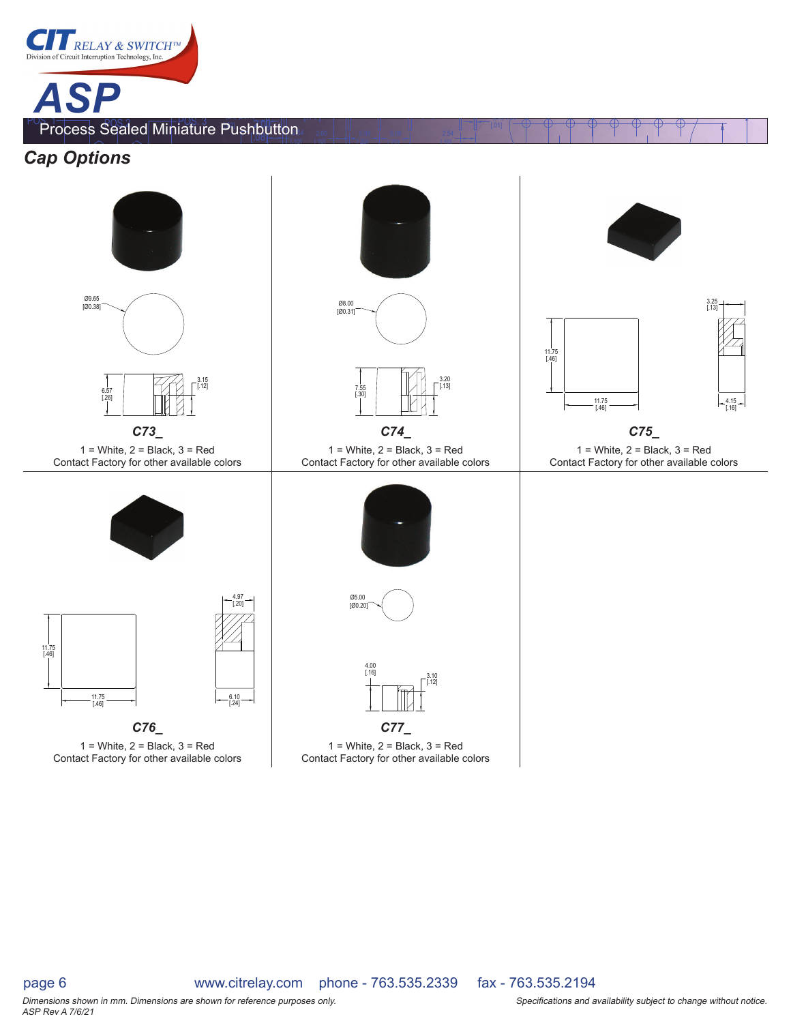



 $1 =$  White,  $2 =$  Black,  $3 =$  Red Contact Factory for other available colors





 $1 =$  White,  $2 =$  Black,  $3 =$  Red Contact Factory for other available colors



[ 20]

[ 20]

[ 10]

(2X) 0.30

 $1 =$  White,  $2 =$  Black,  $3 =$  Red Contact Factory for other available colors



*C73\_ C74\_ C75\_* 1 = White, 2 = Black, 3 = Red Contact Factory for other available colors

4.15 [.16]

11.75 [.46]







 $1 =$  White,  $2 =$  Black,  $3 =$  Red Contact Factory for other available colors

ASP Rev A 7/6/21